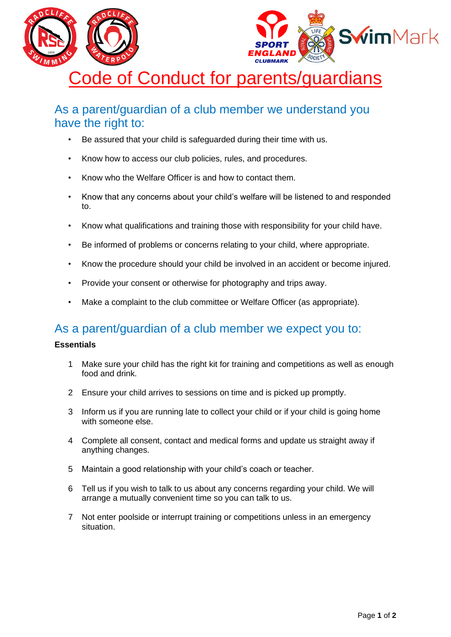

## As a parent/guardian of a club member we understand you have the right to:

- Be assured that your child is safeguarded during their time with us.
- Know how to access our club policies, rules, and procedures.
- Know who the Welfare Officer is and how to contact them.
- Know that any concerns about your child's welfare will be listened to and responded to.
- Know what qualifications and training those with responsibility for your child have.
- Be informed of problems or concerns relating to your child, where appropriate.
- Know the procedure should your child be involved in an accident or become injured.
- Provide your consent or otherwise for photography and trips away.
- Make a complaint to the club committee or Welfare Officer (as appropriate).

## As a parent/guardian of a club member we expect you to:

## **Essentials**

- 1 Make sure your child has the right kit for training and competitions as well as enough food and drink.
- 2 Ensure your child arrives to sessions on time and is picked up promptly.
- 3 Inform us if you are running late to collect your child or if your child is going home with someone else.
- 4 Complete all consent, contact and medical forms and update us straight away if anything changes.
- 5 Maintain a good relationship with your child's coach or teacher.
- 6 Tell us if you wish to talk to us about any concerns regarding your child. We will arrange a mutually convenient time so you can talk to us.
- 7 Not enter poolside or interrupt training or competitions unless in an emergency situation.